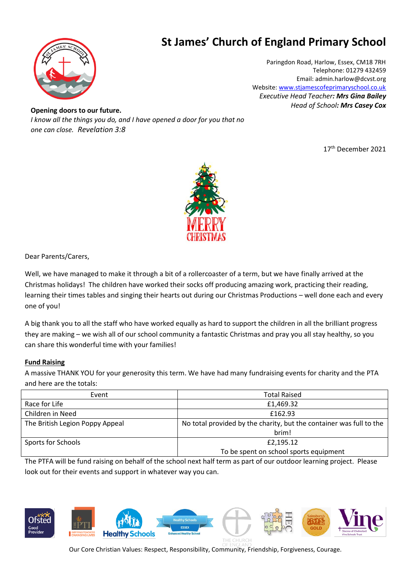

## **St James' Church of England Primary School**

Paringdon Road, Harlow, Essex, CM18 7RH Telephone: 01279 432459 Email: admin.harlow@dcvst.org Website: [www.stjamescofeprimaryschool.co.uk](http://www.stjamescofeprimaryschool.co.uk/) *Executive Head Teacher: Mrs Gina Bailey Head of School: Mrs Casey Cox*

 *one can close. Revelation 3:8***Opening doors to our future.** *I know all the things you do, and I have opened a door for you that no* 

17 th December 2021



Dear Parents/Carers,

Well, we have managed to make it through a bit of a rollercoaster of a term, but we have finally arrived at the Christmas holidays! The children have worked their socks off producing amazing work, practicing their reading, learning their times tables and singing their hearts out during our Christmas Productions – well done each and every one of you!

A big thank you to all the staff who have worked equally as hard to support the children in all the brilliant progress they are making – we wish all of our school community a fantastic Christmas and pray you all stay healthy, so you can share this wonderful time with your families!

#### **Fund Raising**

A massive THANK YOU for your generosity this term. We have had many fundraising events for charity and the PTA and here are the totals:

| Event                           | <b>Total Raised</b>                                                 |
|---------------------------------|---------------------------------------------------------------------|
| Race for Life                   | £1,469.32                                                           |
| Children in Need                | £162.93                                                             |
| The British Legion Poppy Appeal | No total provided by the charity, but the container was full to the |
|                                 | brim!                                                               |
| Sports for Schools              | £2,195.12                                                           |
|                                 | To be spent on school sports equipment                              |

The PTFA will be fund raising on behalf of the school next half term as part of our outdoor learning project. Please look out for their events and support in whatever way you can.



Our Core Christian Values: Respect, Responsibility, Community, Friendship, Forgiveness, Courage.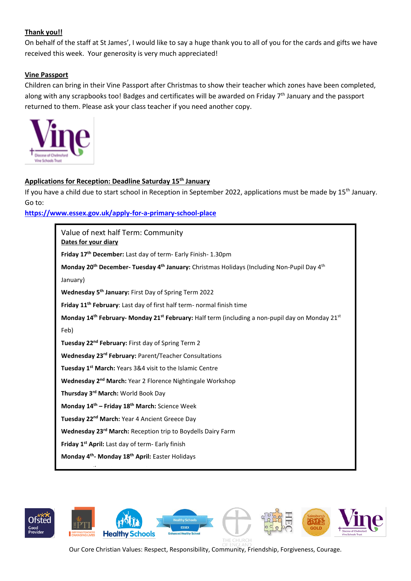### **Thank you!!**

On behalf of the staff at St James', I would like to say a huge thank you to all of you for the cards and gifts we have received this week. Your generosity is very much appreciated!

#### **Vine Passport**

Children can bring in their Vine Passport after Christmas to show their teacher which zones have been completed, along with any scrapbooks too! Badges and certificates will be awarded on Friday 7<sup>th</sup> January and the passport returned to them. Please ask your class teacher if you need another copy.



#### **Applications for Reception: Deadline Saturday 15th January**

If you have a child due to start school in Reception in September 2022, applications must be made by 15<sup>th</sup> January. Go to:

**<https://www.essex.gov.uk/apply-for-a-primary-school-place>**

| Value of next half Term: Community<br>Dates for your diary                                                                          |  |
|-------------------------------------------------------------------------------------------------------------------------------------|--|
| Friday 17 <sup>th</sup> December: Last day of term- Early Finish- 1.30pm                                                            |  |
| Monday 20 <sup>th</sup> December- Tuesday 4 <sup>th</sup> January: Christmas Holidays (Including Non-Pupil Day 4 <sup>th</sup>      |  |
| January)                                                                                                                            |  |
| Wednesday 5 <sup>th</sup> January: First Day of Spring Term 2022                                                                    |  |
| Friday 11 <sup>th</sup> February: Last day of first half term- normal finish time                                                   |  |
| Monday 14 <sup>th</sup> February- Monday 21 <sup>st</sup> February: Half term (including a non-pupil day on Monday 21 <sup>st</sup> |  |
| Feb)                                                                                                                                |  |
| Tuesday 22 <sup>nd</sup> February: First day of Spring Term 2                                                                       |  |
| Wednesday 23rd February: Parent/Teacher Consultations                                                                               |  |
| Tuesday 1 <sup>st</sup> March: Years 3&4 visit to the Islamic Centre                                                                |  |
| Wednesday 2 <sup>nd</sup> March: Year 2 Florence Nightingale Workshop                                                               |  |
| Thursday 3rd March: World Book Day                                                                                                  |  |
| Monday 14 <sup>th</sup> - Friday 18 <sup>th</sup> March: Science Week                                                               |  |
| Tuesday 22 <sup>nd</sup> March: Year 4 Ancient Greece Day                                                                           |  |
| Wednesday 23 <sup>rd</sup> March: Reception trip to Boydells Dairy Farm                                                             |  |
| Friday 1 <sup>st</sup> April: Last day of term- Early finish                                                                        |  |
| Monday 4 <sup>th</sup> - Monday 18 <sup>th</sup> April: Easter Holidays                                                             |  |



Our Core Christian Values: Respect, Responsibility, Community, Friendship, Forgiveness, Courage.